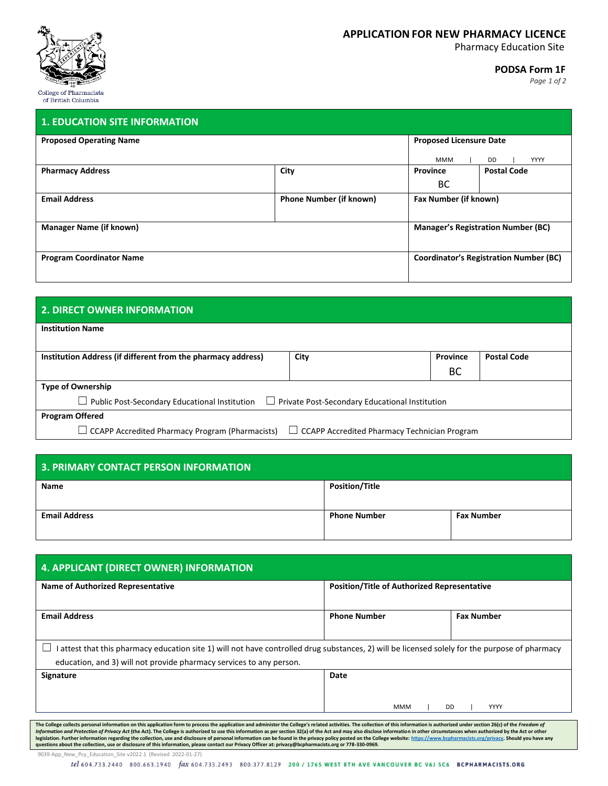

### **APPLICATIONFOR NEW PHARMACY LICENCE**

Pharmacy Education Site

#### **PODSA Form 1F**

*Page 1 of 2*

| <b>Proposed Operating Name</b>  |                                | <b>Proposed Licensure Date</b>                |                    |  |
|---------------------------------|--------------------------------|-----------------------------------------------|--------------------|--|
|                                 |                                | <b>MMM</b>                                    | <b>YYYY</b><br>DD. |  |
| <b>Pharmacy Address</b>         | City                           | Province                                      | <b>Postal Code</b> |  |
|                                 |                                | <b>BC</b>                                     |                    |  |
| <b>Email Address</b>            | <b>Phone Number (if known)</b> | Fax Number (if known)                         |                    |  |
| <b>Manager Name (if known)</b>  |                                | <b>Manager's Registration Number (BC)</b>     |                    |  |
| <b>Program Coordinator Name</b> |                                | <b>Coordinator's Registration Number (BC)</b> |                    |  |

## **2. DIRECT OWNER INFORMATION**

| $\mathbf{I}$ | <b>Institution Name</b> |
|--------------|-------------------------|
|              |                         |

| Institution Address (if different from the pharmacy address)                                                  | City | Province<br>BC | <b>Postal Code</b> |
|---------------------------------------------------------------------------------------------------------------|------|----------------|--------------------|
| <b>Type of Ownership</b>                                                                                      |      |                |                    |
| $\Box$ Public Post-Secondary Educational Institution<br>Private Post-Secondary Educational Institution        |      |                |                    |
| <b>Program Offered</b>                                                                                        |      |                |                    |
| $\Box$ CCAPP Accredited Pharmacy Program (Pharmacists)<br>$\Box$ CCAPP Accredited Pharmacy Technician Program |      |                |                    |

| <b>3. PRIMARY CONTACT PERSON INFORMATION</b> |                       |                   |  |
|----------------------------------------------|-----------------------|-------------------|--|
| <b>Name</b>                                  | <b>Position/Title</b> |                   |  |
| <b>Email Address</b>                         | <b>Phone Number</b>   | <b>Fax Number</b> |  |

| <b>4. APPLICANT (DIRECT OWNER) INFORMATION</b>                                                                                                                                                                      |                                                    |                   |  |
|---------------------------------------------------------------------------------------------------------------------------------------------------------------------------------------------------------------------|----------------------------------------------------|-------------------|--|
| Name of Authorized Representative                                                                                                                                                                                   | <b>Position/Title of Authorized Representative</b> |                   |  |
| <b>Email Address</b>                                                                                                                                                                                                | <b>Phone Number</b>                                | <b>Fax Number</b> |  |
| attest that this pharmacy education site 1) will not have controlled drug substances, 2) will be licensed solely for the purpose of pharmacy<br>education, and 3) will not provide pharmacy services to any person. |                                                    |                   |  |
| <b>Signature</b>                                                                                                                                                                                                    | Date                                               |                   |  |
|                                                                                                                                                                                                                     | <b>MMM</b><br><b>DD</b>                            | YYYY              |  |

The College collects personal information on this application form to process the application and administer the College's related activities. The collection of this information in other section 26(c) of the *Freedom of*<br>I